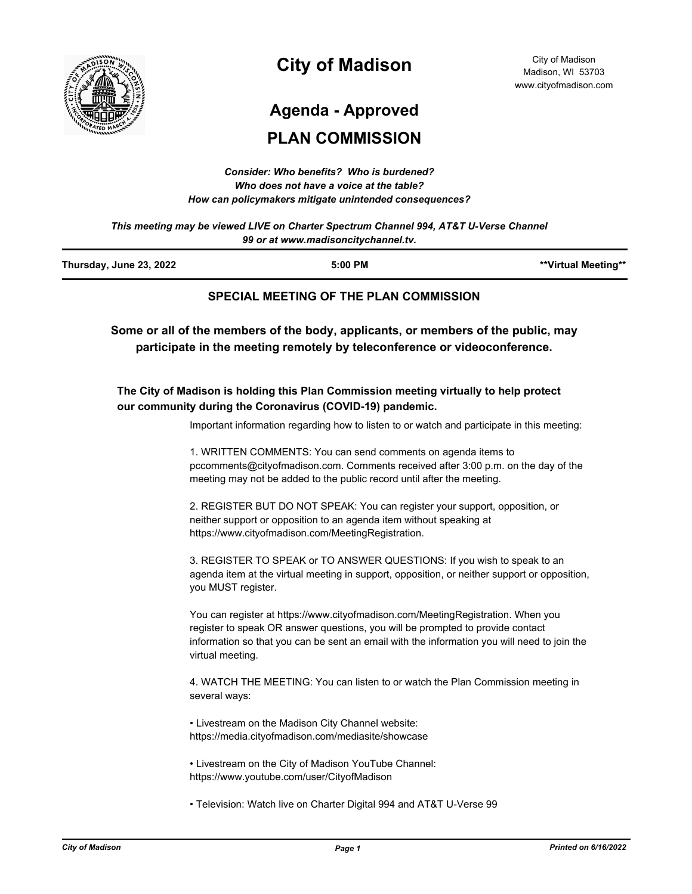

# **City of Madison**

# **Agenda - Approved**

## **PLAN COMMISSION**

| Consider: Who benefits? Who is burdened?               |
|--------------------------------------------------------|
| Who does not have a voice at the table?                |
| How can policymakers mitigate unintended consequences? |

*This meeting may be viewed LIVE on Charter Spectrum Channel 994, AT&T U-Verse Channel 99 or at www.madisoncitychannel.tv.*

| Thursday, June 23, 2022 | $5:00$ PM                              | **Virtual Meeting** |
|-------------------------|----------------------------------------|---------------------|
|                         | SPECIAL MEETING OF THE PLAN COMMISSION |                     |

**Some or all of the members of the body, applicants, or members of the public, may participate in the meeting remotely by teleconference or videoconference.**

#### **The City of Madison is holding this Plan Commission meeting virtually to help protect our community during the Coronavirus (COVID-19) pandemic.**

Important information regarding how to listen to or watch and participate in this meeting:

1. WRITTEN COMMENTS: You can send comments on agenda items to pccomments@cityofmadison.com. Comments received after 3:00 p.m. on the day of the meeting may not be added to the public record until after the meeting.

2. REGISTER BUT DO NOT SPEAK: You can register your support, opposition, or neither support or opposition to an agenda item without speaking at https://www.cityofmadison.com/MeetingRegistration.

3. REGISTER TO SPEAK or TO ANSWER QUESTIONS: If you wish to speak to an agenda item at the virtual meeting in support, opposition, or neither support or opposition, you MUST register.

You can register at https://www.cityofmadison.com/MeetingRegistration. When you register to speak OR answer questions, you will be prompted to provide contact information so that you can be sent an email with the information you will need to join the virtual meeting.

4. WATCH THE MEETING: You can listen to or watch the Plan Commission meeting in several ways:

• Livestream on the Madison City Channel website: https://media.cityofmadison.com/mediasite/showcase

• Livestream on the City of Madison YouTube Channel: https://www.youtube.com/user/CityofMadison

• Television: Watch live on Charter Digital 994 and AT&T U-Verse 99